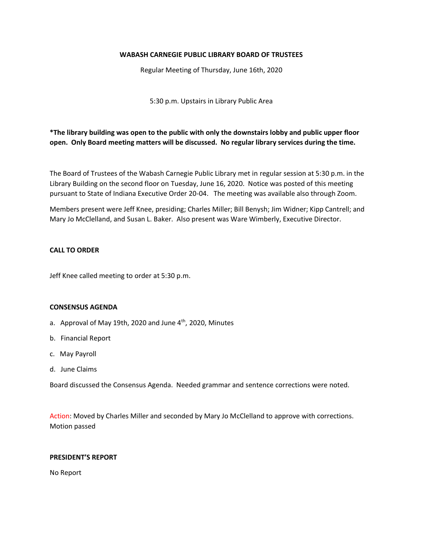### **WABASH CARNEGIE PUBLIC LIBRARY BOARD OF TRUSTEES**

Regular Meeting of Thursday, June 16th, 2020

5:30 p.m. Upstairs in Library Public Area

**\*The library building was open to the public with only the downstairs lobby and public upper floor open. Only Board meeting matters will be discussed. No regular library services during the time.**

The Board of Trustees of the Wabash Carnegie Public Library met in regular session at 5:30 p.m. in the Library Building on the second floor on Tuesday, June 16, 2020. Notice was posted of this meeting pursuant to State of Indiana Executive Order 20-04. The meeting was available also through Zoom.

Members present were Jeff Knee, presiding; Charles Miller; Bill Benysh; Jim Widner; Kipp Cantrell; and Mary Jo McClelland, and Susan L. Baker. Also present was Ware Wimberly, Executive Director.

### **CALL TO ORDER**

Jeff Knee called meeting to order at 5:30 p.m.

#### **CONSENSUS AGENDA**

- a. Approval of May 19th, 2020 and June  $4<sup>th</sup>$ , 2020, Minutes
- b. Financial Report
- c. May Payroll
- d. June Claims

Board discussed the Consensus Agenda. Needed grammar and sentence corrections were noted.

Action: Moved by Charles Miller and seconded by Mary Jo McClelland to approve with corrections. Motion passed

#### **PRESIDENT'S REPORT**

No Report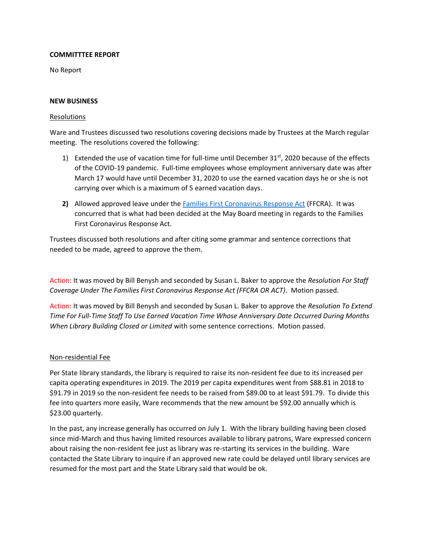## **COMMITTTEE REPORT**

No Report

### **NEW BUSINESS**

### Resolutions

Ware and Trustees discussed two resolutions covering decisions made by Trustees at the March regular meeting. The resolutions covered the following:

- 1) Extended the use of vacation time for full-time until December  $31<sup>st</sup>$ , 2020 because of the effects of the COVID-19 pandemic. Full-time employees whose employment anniversary date was after March 17 would have until December 31, 2020 to use the earned vacation days he or she is not carrying over which is a maximum of 5 earned vacation days.
- **2)** Allowed approved leave under the [Families First Coronavirus Response Act](https://www.congress.gov/bill/116th-congress/house-bill/6201) (FFCRA). It was concurred that is what had been decided at the May Board meeting in regards to the Families First Coronavirus Response Act.

Trustees discussed both resolutions and after citing some grammar and sentence corrections that needed to be made, agreed to approve the them.

Action: It was moved by Bill Benysh and seconded by Susan L. Baker to approve the *Resolution For Staff Coverage Under The Families First Coronavirus Response Act (FFCRA OR ACT)*. Motion passed.

Action: It was moved by Bill Benysh and seconded by Susan L. Baker to approve the *Resolution To Extend Time For Full-Time Staff To Use Earned Vacation Time Whose Anniversary Date Occurred During Months When Library Building Closed or Limited* with some sentence corrections. Motion passed.

## Non-residential Fee

Per State library standards, the library is required to raise its non-resident fee due to its increased per capita operating expenditures in 2019. The 2019 per capita expenditures went from \$88.81 in 2018 to \$91.79 in 2019 so the non-resident fee needs to be raised from \$89.00 to at least \$91.79. To divide this fee into quarters more easily, Ware recommends that the new amount be \$92.00 annually which is \$23.00 quarterly.

In the past, any increase generally has occurred on July 1. With the library building having been closed since mid-March and thus having limited resources available to library patrons, Ware expressed concern about raising the non-resident fee just as library was re-starting its services in the building. Ware contacted the State Library to inquire if an approved new rate could be delayed until library services are resumed for the most part and the State Library said that would be ok.